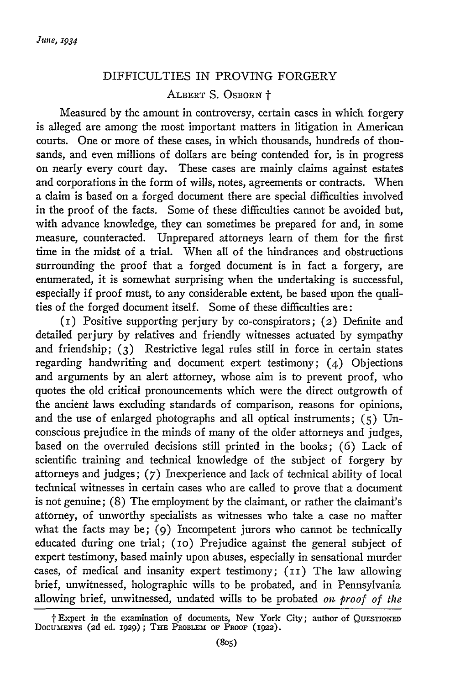## DIFFICULTIES IN PROVING FORGERY ALBERT S. OSBORN +

Measured by the amount in controversy, certain cases in which forgery is alleged are among the most important matters in litigation in American courts. One or more of these cases, in which thousands, hundreds of thousands, and even millions of dollars are being contended for, is in progress on nearly every court day. These cases are mainly claims against estates and corporations in the form of wills, notes, agreements or contracts. When a claim is based on a forged document there are special difficulties involved in the proof of the facts. Some of these difficulties cannot be avoided but, with advance knowledge, they can sometimes be prepared for and, in some measure, counteracted. Unprepared attorneys learn of them for the first time in the midst of a trial. When all of the hindrances and obstructions surrounding the proof that a forged document is in fact a forgery, are enumerated, it is somewhat surprising when the undertaking is successful, especially if proof must, to any considerable extent, be based upon the qualities of the forged document itself. Some of these difficulties are:

(i) Positive supporting perjury by co-conspirators; (2) Definite and detailed perjury by relatives and friendly witnesses actuated by sympathy and friendship; (3) Restrictive legal rules still in force in certain states regarding handwriting and document expert testimony; (4) Objections and arguments by an alert attorney, whose aim is to prevent proof, who quotes the old critical pronouncements which were the direct outgrowth of the ancient laws excluding standards of comparison, reasons for opinions, and the use of enlarged photographs and all optical instruments; (5) Unconscious prejudice in the minds of many of the older attorneys and judges, based on the overruled decisions still printed in the books; (6) Lack of scientific training and technical knowledge of the subject of forgery by attorneys and judges; (7) Inexperience and lack of technical ability of local technical witnesses in certain cases who are called to prove that a document is not genuine; (8) The employment by the claimant, or rather the claimant's attorney, of unworthy specialists as witnesses who take a case no maiter what the facts may be; (9) Incompetent jurors who cannot be technically educated during one trial; (io) Prejudice against the general subject of expert testimony, based mainly upon abuses, especially in sensational murder cases, of medical and insanity expert testimony; (II) The law allowing brief, unwitnessed, holographic wills to be probated, and in Pennsylvania allowing brief, unwitnessed, undated wills to be probated *on proof of the*

t Expert in the examination of documents, New York City; author of **QUESTIONED DOCUMENTS** (2d ed. **1929);** THE PROBLEM OF **PROOF** (1922).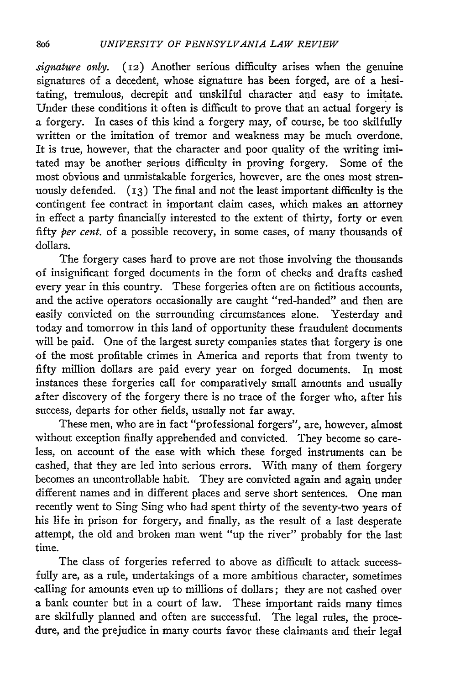*signature only.* (12) Another serious difficulty arises when the genuine signatures of a decedent, whose signature has been forged, are of a hesitating, tremulous, decrepit and unskilful character and easy to imitate. Under these conditions it often is difficult to prove that an actual forgery is a forgery. In cases of this kind a forgery may, of course, be too skilfully written or the imitation of tremor and weakness may be much overdone It is true, however, that the character and poor quality of the writing imitated may be another serious difficulty in proving forgery. Some of the most obvious and unmistakable forgeries, however, are the ones most strenuously defended.  $(13)$  The final and not the least important difficulty is the contingent fee contract in important claim cases, which makes an attorney in effect a party financially interested to the extent of thirty, forty or even fifty *per cent.* of a possible recovery, in some cases, of many thousands of dollars.

The forgery cases hard to prove are not those involving the thousands of insignificant forged documents in the form of checks and drafts cashed every year in this country. These forgeries often are on fictitious accounts, and the active operators occasionally are caught "red-handed" and then are easily convicted on the surrounding circumstances alone. Yesterday and today and tomorrow in this land of opportunity these fraudulent documents will be paid. One of the largest surety companies states that forgery is one of the most profitable crimes in America and reports that from twenty to fifty million dollars are paid every year on forged documents. In most instances these forgeries call for comparatively small amounts and usually after discovery of the forgery there is no trace of the forger who, after his success, departs for other fields, usually not far away.

These men, who are in fact "professional forgers", are, however, almost without exception finally apprehended and convicted. They become so careless, on account of the ease with which these forged instruments can be cashed, that they are led into serious errors. With many of them forgery becomes an uncontrollable habit. They are convicted again and again under different names and in different places and serve short sentences. One man recently went to Sing Sing who had spent thirty of the seventy-two years of his life in prison for forgery, and finally, as the result of a last desperate attempt, the old and broken man went "up the river" probably for the last time.

The class of forgeries referred to above as difficult to attack successfully are, as a rule, undertakings of a more ambitious character, sometimes calling for amounts even up to millions of dollars; they are not cashed over a bank counter but in a court of law. These important raids many times are skilfully planned and often are successful. The legal rules, the procedure, and the prejudice in many courts favor these claimants and their legal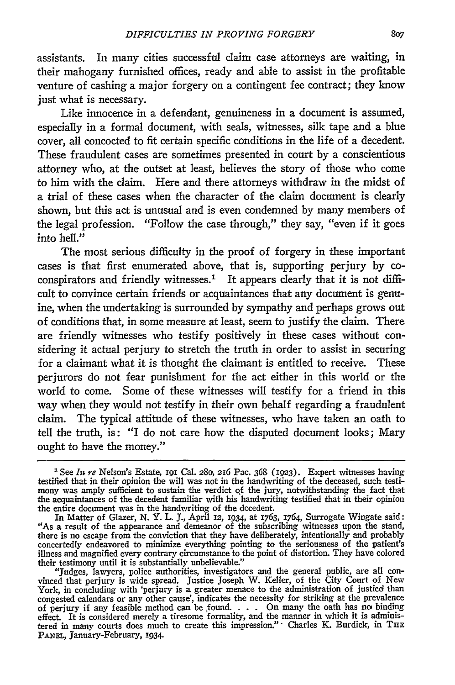assistants. In many cities successful claim case attorneys are waiting, in their mahogany furnished offices, ready and able to assist in the profitable venture of cashing a major forgery on a contingent fee contract; they know just what is necessary.

Like innocence in a defendant, genuineness in a document is assumed, especially in a formal document, with seals, witnesses, silk tape and a blue cover, all concocted to fit certain specific conditions in the life of a decedent. These fraudulent cases are sometimes presented in court by a conscientious attorney who, at the outset at least, believes the story of those who come to him with the claim. Here and there attorneys withdraw in the midst of a trial of these cases when the character of the claim document is clearly shown, but this act is unusual and is even condemned by many members of the legal profession. "Follow the case through," they say, "even if it goes into hell."

The most serious difficulty in the proof of forgery in these important cases is that first enumerated above, that is, supporting perjury by coconspirators and friendly witnesses.<sup>1</sup> It appears clearly that it is not difficult to convince certain friends or acquaintances that any document is genuine, when the undertaking is surrounded by sympathy and perhaps grows out of conditions that, in some measure at least, seem to justify the claim. There are friendly witnesses who testify positively in these cases without considering it actual perjury to stretch the truth in order to assist in securing for a claimant what it is thought the claimant is entitled to receive. These perjurors do not fear punishment for the act either in this world or the world to come. Some of these witnesses will testify for a friend in this way when they would not testify in their own behalf regarding a fraudulent claim. The typical attitude of these witnesses, who have taken an oath to tell the truth, is: "I do not care how the disputed document looks; Mary ought to have the money."

<sup>&</sup>lt;sup>1</sup> See *In re* Nelson's Estate, *191 Cal. 280, 216 Pac. 368 (1923)*. Expert witnesses having testified that in their opinion the will was not in the handwriting of the deceased, such testimony was amply sufficient to sustain the verdict of the jury, notwithstanding the fact that the acquaintances of the decedent familiar with his handwriting testified that in their opinion the entire document was in the handwriting of the decedent.

In Matter of Glazer, N. Y. L. 3., April **12, 1934,** at 1763, 1764, Surrogate Wingate said: "As a result of the appearance and demeanor of the subscribing witnesses upon the stand, there is no escape from the conviction that they have deliberately, intentionally and probably concertedly endeavored to minimize everything pointing to the seriousness of the patient's illness and magnified every contrary circumstance to the point of distortion. They have colored their testimony until it is substantially unbelievable."

<sup>&</sup>quot;Judges, lawyers, police authorities, investigators and the general public, are all convinced that perjury is wide spread. Justice Joseph W. Keller, of the City Court of New York, in concluding with 'perjury is a greater menace to the administration of justice than congested calendars or any other cause', indicates the necessity for striking at the prevalence of perjury if any feasible method can be found. . **.** . On many the oath has no, binding effect. It is considered merely a tiresome formality, and the manner in which it is administered in many courts does much to create this impression."- Charles K. Burdick, in THE **PANEL,** January-February, 1934.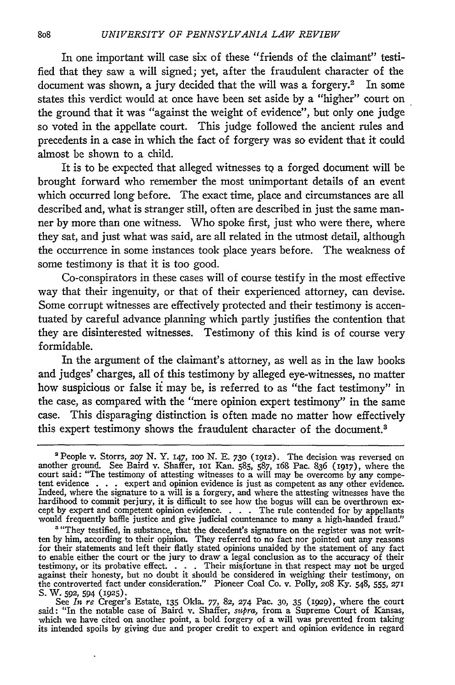In one important will case six of these "friends of the claimant" testified that they saw a will signed; yet, after the fraudulent character of the document was shown, a jury decided that the will was a forgery.<sup>2</sup> In some states this verdict would at once have been set aside **by** a "higher" court on the ground that it was "against the weight of evidence", but only one judge so voted in the appellate court. This judge followed the ancient rules and precedents in a case in which the fact of forgery was so evident that it could almost be shown to a child.

It is to be expected that alleged witnesses to a forged document will be brought forward who remember the most unimportant details of an event which occurred long before. The exact time, place and circumstances are all described and, what is stranger still, often are described in just the same manner **by** more than one witness. Who spoke first, just who were there, where they sat, and just what was said, are all related in the utmost detail, although the occurrence in some instances took place years before. The weakness of some testimony is that it is too good.

Co-conspirators in these cases will of course testify in the most effective way that their ingenuity, or that of their experienced attorney, can devise. Some corrupt witnesses are effectively protected and their testimony is accentuated by careful advance planning which partly justifies the contention that they are disinterested witnesses. Testimony of this kind is of course very formidable.

In the argument of the claimant's attorney, as well as in the law books and judges' charges, all of this testimony by alleged eye-witnesses, no matter how suspicious or false it may be, is referred to as "the fact testimony" in the case, as compared with the "mere opinion expert testimony" in the same case. This disparaging distinction is often made no matter how effectively this expert testimony shows the fraudulent character of the document.<sup>3</sup>

J,

<sup>&#</sup>x27; People v. Storrs, 2o7 **N.** Y. 147, IOO *N.* E. 73o **(1912).** The decision was reversed on another ground. See Baird v. Shaffer, ioi Kan. **585,** 587, 168 Pac. 836 **(1917),** where the court said: "The testimony of attesting witnesses to a will may be overcome by any competent evidence . . . expert and opinion evidence is just as competent as any other evidence. Indeed, where the signature to a will is a forgery, and where the attesting witnesses have the hardihood to commit perjury, it is difficult to see how the bogus will can be overthrown except by expert and competent opinion evidence. . . The rule contended for by appellants would frequently baffle justice and give judicial countenance to many a high-handed fraud."

<sup>&</sup>lt;sup>3</sup> "They testified, in substance, that the decedent's signature on the register was not written by him, according to their opinion. They referred to no fact nor pointed out any reasons for their statements and left their flatly stated opinions unaided by the statement of any fact to enable either the court or the jury to draw a legal conclusion as to the accuracy of their testimony, or its probative effect. . **.** . Their misfortune in that respect may not be urged against their honesty, but no doubt it should be considered in weighing their testimony, on the controverted fact under consideration." Pioneer Coal Co. v. Polly, **2o8** *Ky.* 548, 555, 271 **S.** W. **592,** 594 (1925). See *In* re Creger's Estate, **135** Okla. 77, 82, 274 Pac. **30,** 35 (929), where the court

said: "In the notable case of Baird v. Shaffer, *supra,* from a Supreme Court of Kansas, which we have cited on another point, a bold forgery of a will was prevented from taking<br>its intended spoils by giving due and proper credit to expert and opinion evidence in regard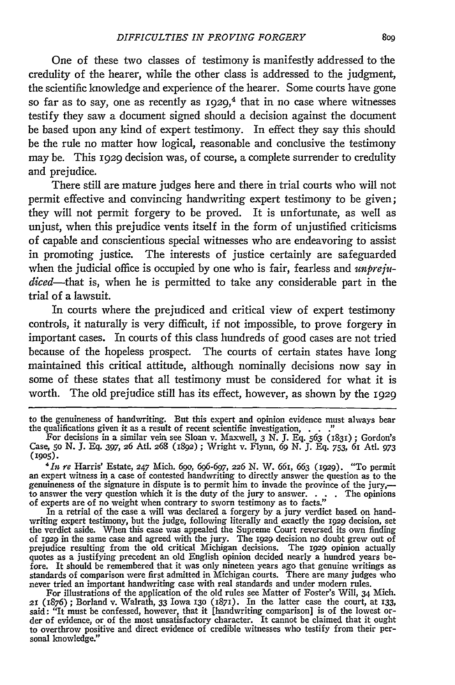One of these two classes of testimony is manifestly addressed to the credulity of the hearer, while the other class is addressed to the judgment, the scientific knowledge and experience of the hearer. Some courts have gone so far as to say, one as recently as  $1929$ ,<sup>4</sup> that in no case where witnesses testify they saw a document signed should a decision against the document be based upon any kind of expert testimony. In effect they say this should be the rule no matter how logical, reasonable and conclusive the testimony may be. This 1929 decision was, of course, a complete surrender to credulity and prejudice.

There still are mature judges here and there in trial courts who will not permit effective and convincing handwriting expert testimony to be given; they will not permit forgery to be proved. It is unfortunate, as well as unjust, when this prejudice vents itself in the form of unjustified criticisms of capable and conscientious special witnesses who are endeavoring to assist in promoting justice. The interests of justice certainly are safeguarded when the judicial office is occupied by one who is fair, fearless and *unprejudiced-that is,* when he is permitted to take any considerable part in the trial of a lawsuit.

In courts where the prejudiced and critical view of expert testimony controls, it naturally is very difficult, if not impossible, to prove forgery in important cases. In courts of this class hundreds of good cases are not tried because of the hopeless prospect. The courts of certain states have long maintained this critical attitude, although nominally decisions now say in some of these states that all testimony must be considered for what it is worth. The old prejudice still has its effect, however, as shown by the 1929

to the genuineness of handwriting. But this expert and opinion evidence must always bear the qualifications given it as a result of recent scientific investigation, **. . ..**

For decisions in a similar vein see Sloan v. Maxwell, 3 N. J. Eq. 563 (1831) ; Gordon's Case, 5o N. J. Eq. 397, **26** Ati. 268 (1892) **;** Wright v. Flynn, 69 N. **J.** Eq. 753, 61 Atl. *973* **(1905).**

*<sup>&#</sup>x27;it re* Harris' Estate, 247 Mich. *69o, 696-697, 226* N. W. *66I,* 663 (1929). "To permit an expert witness in a case of contested handwriting to directly answer the question as to the genuineness of the signature in dispute is to permit him to invade the province of the jury,to answer the very question which it is the duty of the jury to answer. . **.** . The opinions of experts are of no weight when contrary to sworn testimony as to facts."

In a retrial of the case a will was declared a forgery by a jury verdict based on handwriting expert testimony, but the judge, following literally and exactly the 1929 decision, set the verdict aside. When this case was appealed the Supreme Court reversed its own finding of **I929** in the same case and agreed with the jury. The **I929** decision no doubt grew out of prejudice resulting from the old critical Michigan decisions. The **1929** opinion actually quotes as a justifying precedent an old English opinion decided nearly a hundred years before. It should be remembered that it was only nineteen years ago that genuine writings as standards of comparison were first admitted in Michigan courts. There are many judges who never tried an important handwriting case with real standards and under modern rules. For illustrations of the application of the old rules see Matter of Foster's Will, 34 Mich.

**<sup>21</sup>** (1876) ; Borland v. Walrath, 33 Iowa **130** (1871). In the latter case the court, at 133, said: "It must be confessed, however, that it [handwriting comparison] is of the lowest order of evidence, or of the most unsatisfactory character. It cannot be claimed that it ought to overthrow positive and direct evidence of credible witnesses who testify from their personal knowledge."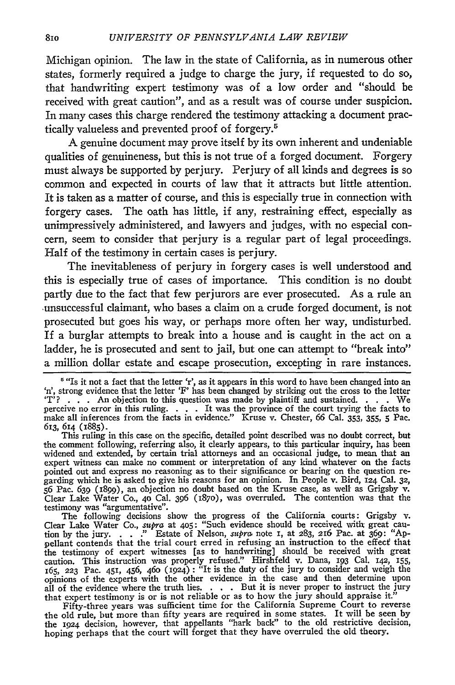Michigan opinion. The law in the state of California, as in numerous other states, formerly required a judge to charge the jury, if requested to do so, that handwriting expert testimony was of a low order and "should be received with great caution", and as a result was of course under suspicion. In many cases this charge rendered the testimony attacking a document practically valueless and prevented proof of forgery.<sup>5</sup>

A genuine document may prove itself **by** its own inherent and undeniable qualities of genuineness, but this is not true of a forged document. Forgery must always be supported **by** perjury. Perjury of all kinds and degrees is so common and expected in courts of law that it attracts but little attention. It is taken as a matter of course, and this is especially true in connection with forgery cases. The oath has little, if any, restraining effect, especially as unimpressively administered, and lawyers and judges, with no especial concern, seem to consider that perjury is a regular part of legal proceedings. Half of the testimony in certain cases is perjury.

The inevitableness of perjury in forgery cases is well understood and this is especially true of cases of importance. This condition is no doubt partly due to the fact that few perjurors are ever prosecuted. As a rule an ,unsuccessful claimant, who bases a claim on a crude forged document, is not prosecuted but goes his way, or perhaps more often her way, undisturbed. If a burglar attempts to break into a house and is caught in the act on a ladder, he is prosecuted and sent to jail, but one can attempt to "break into" a million dollar estate and escape prosecution, excepting in rare instances.

This ruling in this case on the specific, detailed point described was no doubt correct, but the comment following, referring also, it clearly appears, to this particular inquiry, has been widened and extended, **by** certain trial attorneys and an occasional judge, to mean that an expert witness can make no comment or interpretation of any kind whatever on the facts pointed out and express no reasoning as to their significance or bearing on the question regarding which he is asked to give his reasons for an opinion. In People v. Bird, 124 Cal. **32, 56** Pac. 639 (1899), an objection no doubt based on the Kruse case, as well as Grigsby v. Clear Lake Water Co., **40** Cal. **396 (187o),** was overruled. The contention was that the testimony was "argumentative". The following decisions show the progress of the California courts: Grigsby v.

Clear Lake Water Co., *supra* at 405: "Such evidence should be received with great caution by the jury. . . ." Estate of Nelson, *supra* note I, at 283, 216 Pac. at 369: "Appellant contends that the trial court erred in refusing an instruction to the effect that the testimony of expert witnesses [as to handwriting] should be received with great caution. This instruction was properly refused." Hirshfeld v. Dana, 193 Cal. 142, 155, 165, **223** Pac. 451, 456, 46o (1924) **:** "It is the duty of the jury to consider and weigh the opinions of the experts with the other evidence in the case and then determine upon all of the evidence where the truth lies. . **.** . But it is never proper to instruct the jury that expert testimony is or is not reliable or as to how the jury should appraise it." Fifty-three years was sufficient time for the California Supreme Court to reverse

the old rule, but more than fifty years are required in some states. It will be seen by the 1924 decision, however, that appellants "hark back" to the old restrictive decision, hoping perhaps that the court will forget that they have overruled the old theory.

<sup>&</sup>lt;sup>6</sup> "Is it not a fact that the letter 'r', as it appears in this word to have been changed into an 'n', strong evidence that the letter *'F'* **has** been changed **by** striking out the cross to the letter **IT' ? . . .** An objection to this question was made **by** plaintiff and sustained. **. . .** We perceive no error in this ruling. . . . It was the province of the court trying the facts to make all inferences from the facts in evidence." Kruse v. Chester, **66** Cal. **353, 355, 5** Pac. 613, 614 (1885).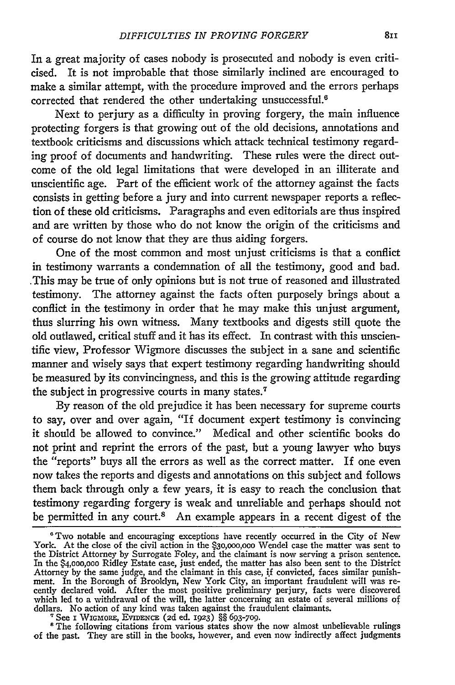In a great majority of cases nobody is prosecuted and nobody is even criticised. It is not improbable that those similarly inclined are encouraged to make a similar attempt, with the procedure improved and the errors perhaps corrected that rendered the other undertaking unsuccessful.<sup>6</sup>

Next to perjury as a difficulty in proving forgery, the main influence protecting forgers is that growing out of the old decisions, annotations and textbook criticisms and discussions which attack technical testimony regarding proof of documents and handwriting. These rules were the direct outcome of the old legal limitations that were developed in an illiterate and unscientific age. Part of the efficient work of the attorney against the facts consists in getting before a jury and into current newspaper reports a reflection of these old criticisms. Paragraphs and even editorials are thus inspired and are written **by** those who do not know the origin of the criticisms and of course do not know that they are thus aiding forgers.

One of the most common and most unjust criticisms is that a conflict in testimony warrants a condemnation of all the testimony, good and bad. .This may be true of only opinions but is not true of reasoned and illustrated testimony. The attorney against the facts often purposely brings about a conflict in the testimony in order that he may make this unjust argument, thus slurring his own witness. Many textbooks and digests still quote the old outlawed, critical stuff and it has its effect. In contrast with this unscientific view, Professor Wigmore discusses the subject in a sane and scientific manner and wisely says that expert testimony regarding handwriting should be measured **by** its convincingness, and this is the growing attitude regarding the subject in progressive courts in many states.7

By reason of the old prejudice it has been necessary for supreme courts to say, over and over again, "If document expert testimony is convincing it should be allowed to convince." Medical and other scientific books do not print and reprint the errors of the past, but a young lawyer who buys the "reports" buys all the errors as well as the correct matter. If one even now takes the reports and digests and annotations on this subject and follows them back through only a few years, it is easy to reach the conclusion that testimony regarding forgery is weak and unreliable and perhaps should not be permitted in any court.<sup>8</sup> An example appears in a recent digest of the

<sup>7</sup> See I WIGMORE, EVIDENCE (2d ed. 1923) §§ 693-709.<br><sup>8</sup> The following citations from various states show the now almost unbelievable rulings of the past. They are still in the books, however, and even now indirectly affect judgments

<sup>&#</sup>x27;Two notable and encouraging exceptions have recently occurred in the City of New York. At the close of the civil action in the **\$3o,ooo,ooo** Wendel case the matter was sent to the District Attorney by Surrogate Foley, and the claimant is now serving a prison sentence. In the **\$4,oooooo** Ridley Estate case, just ended, the matter has also been sent to the District Attorney by the same judge, and the claimant in this case, **f** convicted, faces similar punishment. In the Borough of Brooklyn, New York City, an important fraudulent will was recently declared void. After the most positive preliminary perjury, facts were discovered which led to a withdrawal of the will, the latter concerning an estate of several millions of dollars. No action of any kind was taken against the fraudulent claimants.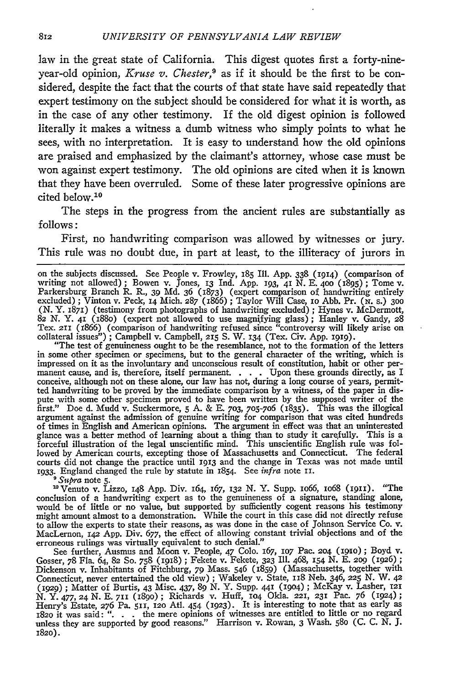law in the great state of California. This digest quotes first a forty-nineyear-old opinion, *Kruse v. Chester*,<sup>9</sup> as if it should be the first to be considered, despite the fact that the courts of that state have said repeatedly that expert testimony on the subject should be considered for what it is worth, as in the case of any other testimony. If the old digest opinion is followed literally it makes a witness a dumb witness who simply points to what he sees, with no interpretation. It is easy to understand how the old opinions are praised and emphasized by the claimant's attorney, whose case must be won against expert testimony. The old opinions are cited when it is known that they have been overruled. Some of these later progressive opinions are cited below.<sup>10</sup>

The steps in the progress from the ancient rules are substantially as follows:

First, no handwriting comparison was allowed by witnesses or jury. This rule was no doubt due, in part at least, to the illiteracy of jurors in

"The test of genuineness ought to be the resemblance, not to the formation of the letters in some other specimen or specimens, but to the general character of the writing, which is impressed on it as the involuntary and unconscious result of constitution, habit or other permanent cause, and is, therefore, itself permanent. . **.** . Upon these grounds directly, as I conceive, although not on these alone, our law has not, during a long course of years, permitted handwriting to be proved by the immediate comparison by a witness, of the paper in dispute with some other specimen proved to have been written by the supposed writer of the first." Doe d. Mudd v. Suckermore, **5** A. & E. **703,** 705-7o6 (1835). This was the illogical argument against the admission of genuine writing for comparison that was cited hundreds of times in English and American opinions. The argument in effect was that an uninterested glance was a better method of learning about a thing than to study it carefully. This is a forceful illustration of the legal unscientific mind. This unscientific English rule was followed by American courts, excepting those of Massachusetts and Connecticut. The federal courts did not change the practice until 1913 and the change in Texas was not made until **1933.** England changed the rule by statute in 1854. See *infra* note **ii.** *<sup>9</sup> Supra* note **5.**

'°Venuto v. Lizzo, 148 App. Div. 164, *167,* 132 N. Y. Supp. io66, lo68 (1911). "The conclusion of a handwriting expert as to the genuineness of a signature, standing alone would be of little or no value, but supported by sufficiently cogent reasons his testimony might amount almost to a demonstration. While the court in this case did not directly refuse to allow the experts to state their reasons, as was done in the case of Johnson Service Co. v. MacLernon, *x42* App. Div. 677, the effect of allowing constant trivial objections and of the erroneous rulings was virtually equivalent to such denial."

See further, Ausmus and Moon v. People, 47 Colo. 167, lO7 Pac. **204** (I9io) **;** Boyd v. Gosser, 78 Fla. 64, 82 So. 758 **(I918) ;** Fekete v. Fekete, **323** Ill. 468, 154 **N.** E. **209** (1926) **;** Dickenson v. Inhabitants of Fitchburg, 79 Mass. 546 (I859) (Massachusetts, together with Connecticut, never entertained the old view) ; Wakeley v. State, 118 Neb. 346, **225** *N.* W. *42* (1929) **;** Matter of Burtis, 43 Misc. 437, 89 N. Y. Supp. 441 (i9o4) **;** McKay v. Lasher, **<sup>121</sup>** *N.* **Y.** 477, **24** N. E. **711** (i89o) ; Richards v. Huff, **1O4** Okla. 221, **231** Pac. 76 (1924) **;** Henry's Estate, 276 Pa. **511,** 12o Atl. 454 (1923). It is interesting to note that as early as i82o it was said: ". . . the mere opinions of witnesses are entitled to little or no regard unless they are supported by good reasons." Harrison v. Rowan, 3 Wash. **580** (C. C. *N.* J. **i82o).**

on the subjects discussed. See People v. Frowley, 185 Ill. App. 338 **(1914)** (comparison of writing not allowed) ; Bowen v. Jones, 13 Ind. App. **193, 41** N. E. **400** (1895) ; Tome v. Parkersburg Branch R. R., 39 Md. 36 (1873) (expert comparison of handwriting entirely excluded) ; Vinton v. Peck, **14** Mich. **287** (1866) ; Taylor Will Case, io Abb. Pr. **(N.** s.) **300** (N. Y. 1871) (testimony from photographs of handwriting excluded) ; Hynes v. McDermott, **82** N. Y. **41** (88o) (expert not allowed to use magnifying glass) ; Hanley v. Gandy, 28 Tex. **211** (1866) (comparison of handwriting refused since "controversy will likely arise on collateral issues"); Campbell v. Campbell, 215 S. W. 134 (Tex. Civ. App. **i919).**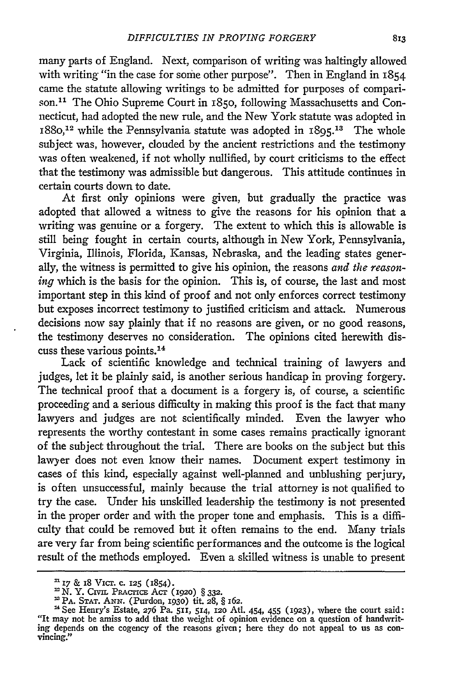many parts of England. Next, comparison of writing was haltingly allowed with writing "in the case for some other purpose". Then in England in 1854 came the statute allowing writings to be admitted for purposes of comparison.<sup>11</sup> The Ohio Supreme Court in 1850, following Massachusetts and Connecticut, had adopted the new rule, and the New York statute was adopted in  $1880$ <sup>12</sup> while the Pennsylvania statute was adopted in  $1895$ <sup>13</sup> The whole subject was, however, clouded by the ancient restrictions and the testimony was often weakened, if not wholly nullified, by court criticisms to the effect that the testimony was admissible but dangerous. This attitude continues in certain courts down to date.

At first only opinions were given, but gradually the practice was adopted that allowed a witness to give the reasons for his opinion that a writing was genuine or a forgery. The extent to which this is allowable is still being fought in certain courts, although in New York, Pennsylvania, Virginia, Illinois, Florida, Kansas, Nebraska, and the leading states generally, the witness is permitted to give his opinion, the reasons *and the reasoning* which is the basis for the opinion. This is, of course, the last and most important step in this kind of proof and not only enforces correct testimony but exposes incorrect testimony to justified criticism and attack. Numerous decisions now say plainly that if no reasons are given, or no good reasons, the testimony deserves no consideration. The opinions cited herewith discuss these various points. <sup>14</sup>

Lack of scientific knowledge and technical training of lawyers and judges, let it be plainly said, is another serious handicap in proving forgery. The technical proof that a document is a forgery is, of course, a scientific proceeding and a serious difficulty in making this proof is the fact that many lawyers and judges are not scientifically minded. Even the lawyer who represents the worthy contestant in some cases remains practically ignorant of the subject throughout the trial. There are books on the subject but this lawyer does not even know their names. Document expert testimony in cases of this kind, especially against well-planned and unblushing perjury, is often unsuccessful, mainly because the trial attorney is not qualified to try the case. Under his unskilled leadership the testimony is not presented in the proper order and with the proper tone and emphasis. This is a difficulty that could be removed but it often remains to the end. Many trials are very far from being scientific performances and the outcome is the logical result of the methods employed. Even a skilled witness is unable to present

<sup>n</sup>17 & 18 Vicr. **c. 125** (1854).

N. Y. CIviL PRAcrlcE **AcT (1920)** § **332.**

<sup>=</sup> PA. **STAT. ANN.** (Purdon, **193o)** tit. **28,** § 162.

See Henry's Estate, **276** Pa. 511, **514, 12o** Atl. 454, 455 (1923), where the court said: "It may not be amiss to add that the weight of opinion evidence on a question of handwriting depends on the cogency of the reasons given; here they do not appeal to us as con- vincing."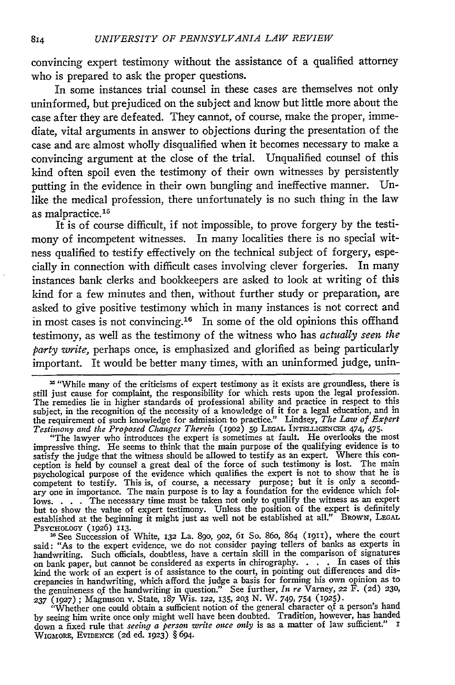convincing expert testimony without the assistance of a qualified attorney who is prepared to ask the proper questions.

In some instances trial counsel in these cases are themselves not only uninformed, but prejudiced on the subject and know but little more about the case after they are defeated. They cannot, of course, make the proper, immediate, vital arguments in answer to objections during the presentation of the case and are almost wholly disqualified when it becomes necessary to make a convincing argument at the close of the trial. Unqualified counsel of this kind often spoil even the testimony of their own witnesses by persistently putting in the evidence in their own bungling and ineffective manner. Unlike the medical profession, there unfortunately is no such thing in the law as malpractice.<sup>15</sup>

It is of course difficult, if not impossible, to prove forgery by the testimony of incompetent witnesses. In many localities there is no special witness qualified to testify effectively on the technical subject of forgery, especially in connection with difficult cases involving clever forgeries. In many instances bank clerks and bookkeepers are asked to look at writing of this kind for a few minutes and then, without further study or preparation, are asked to give positive testimony which in many instances is not correct and in most cases is not convincing.16 In some of the old opinions this offhand testimony, as well as the testimony of the witness who has *actually seen the party write,* perhaps once, is emphasized and glorified as being particularly important. It would be better many times, with an uninformed judge, unin-

**'a** "While many of the criticisms of expert testimony as it exists are groundless, there is still just cause for complaint, the responsibility for which rests upon the legal profession. The remedies lie in higher standards of professional ability and practice in respect to this subject, in the recognition of the necessity of a knowledge of it for a legal education, and in the requirement of such knowledge for admission to practice." Lindsey, *The Law of Expert Testimony and the Proposed Changes Therein* (1902) 59 LEGAL INTELLIGENCER *474, 475*. "The lawyer who introduces the expert is sometimes at fault. He overlooks the most

impressive thing. He seems to think that the main purpose of the qualifying evidence is to satisfy the judge that the witness should be allowed to testify as an expert. Where this conception is held by counsel a great deal of the force of such testimony is lost. The main psychological purpose of the evidence which qualifies the expert is not to show that he is competent to testify. This is, of course, a necessary purpose; but it is only a secondary one in importance. The main purpose is to lay a foundation for the evidence which follows. . . . The necessary time must be taken not only to qualify the witness as an exper but to show the value of expert testimony. Unless the position of the expert is definitely established at the beginning it might just as well not be established at all." BRowN, **LEGAL**

PSYCHOLOGY (1926) 113. 'See Succession of White, 132 La. **&p, 902,** 61 So. 86o, 864 (1911), where the court said: "As to the expert evidence, we do not consider paying tellers of banks as experts in handwriting. Such officials, doubtless, have a certain skill in the comparison of signatures on bank paper, but cannot be considered as experts in chirography. . **.** . In cases of this kind the work of an expert is of assistance to the court, in pointing out differences and dis-crepancies in handwriting, which afford the judge a basis for forming his own opinion as to the genuineness of the handwriting in question." See further, *In re* Varney, 22 F. (2d) *230,*

**237 (1927) ;** Magnuson v. State, **187** Wis. 122, **135, 203 N.** W. 749, 754 **(1925).** "Whether one could obtain a sufficient notion of the general character of a person's hand by seeing him write once only might well have been doubted. Tradition, however, has handed down a fixed rule that *seeing a person write once only* is as a matter of law sufficient." I WGmORE, EVIDExCE **(2d** ed. 1923) § 694.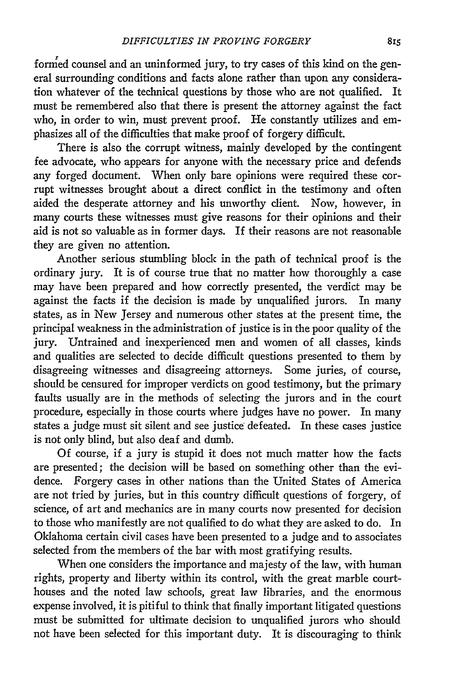formed counsel and an uninformed jury, to try cases of this kind on the general surrounding conditions and facts alone rather than upon any consideration whatever of the technical questions by those who are not qualified. It must be remembered also that there is present the attorney against the fact who, in order to win, must prevent proof. He constantly utilizes and emphasizes all of the difficulties that make proof of forgery difficult.

There is also the corrupt witness, mainly developed by the contingent fee advocate, who appears for anyone with the necessary price and defends any forged document. When only bare opinions were required these corrupt witnesses brought about a direct conflict in the testimony and often aided the desperate attorney and his unworthy client. Now, however, in many courts these witnesses must give reasons for their opinions and their aid is not so valuable as in former days. If their reasons are not reasonable they are given no attention.

Another serious stumbling block in the path of technical proof is the ordinary jury. It is of course true that no matter how thoroughly a case may have been prepared and how correctly presented, the verdict may be against the facts if the decision is made by unqualified jurors. In many states, as in New Jersey and numerous other states at the present time, the principal weakness in the administration of justice is in the poor quality of the jury. Untrained and inexperienced men and women of all classes, kinds and qualities are selected to decide difficult questions presented to them by disagreeing witnesses and disagreeing attorneys. Some juries, of course, should be censured for improper verdicts on good testimony, but the primary faults usually are in the methods of selecting the jurors and in the court procedure, especially in those courts where judges have no power. In many states a judge must sit silent and see justice defeated. In these cases justice is not only blind, but also deaf and dumb.

Of course, if a jury is stupid it does not much matter how the facts are presented; the decision will be based on something other than the evidence. Forgery cases in other nations than the United States of America are not tried by juries, but in this country difficult questions of forgery, of science, of art and mechanics are in many courts now presented for decision to those who manifestly are not qualified to do what they are asked to do. In Oklahoma certain civil cases have been presented to a judge and to associates selected from the members of the bar with most gratifying results.

When one considers the importance and majesty of the law, with human rights, property and liberty within its control, with the great marble courthouses and the noted law schools, great law libraries, and the enormous expense involved, it is pitiful to think that finally important litigated questions must be submitted for ultimate decision to unqualified jurors who should not have been selected for this important duty. It is discouraging to think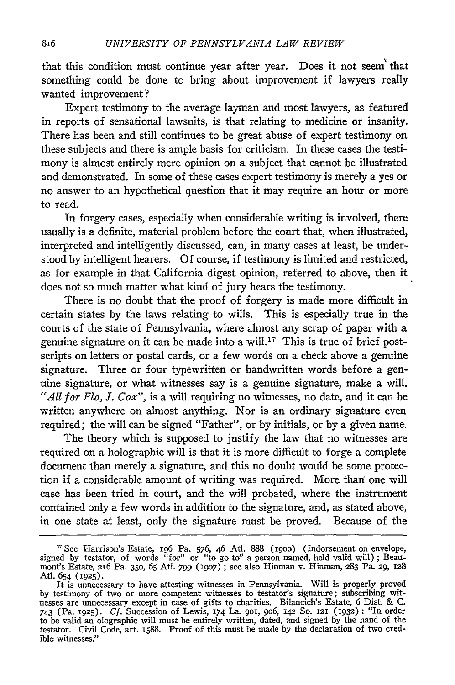that this condition must continue year after year. Does it not seem' that something could be done to bring about improvement if lawyers really wanted improvement?

Expert testimony to the average layman and most lawyers, as featured in reports of sensational lawsuits, is that relating to medicine or insanity. There has been and still continues to be great abuse of expert testimony on these subjects and there is ample basis for criticism. In these cases the testimony is almost entirely mere opinion on a subject that cannot be illustrated and demonstrated. In some of these cases expert testimony is merely a yes or no answer to an hypothetical question that it may require an hour or more to read.

In forgery cases, especially when considerable writing is involved, there usually is a definite, material problem before the court that, when illustrated, interpreted and intelligently discussed, can, in many cases at least, be understood by intelligent hearers. Of course, if testimony is limited and restricted, as for example in that California digest opinion, referred to above, then it does not so much matter what kind of jury hears the testimony.

There is no doubt that the proof of forgery is made more difficult in certain states by the laws relating to wills. This is especially true in the courts of the state of Pennsylvania, where almost any scrap of paper with a genuine signature on it can be made into a will.<sup>17</sup> This is true of brief postscripts on letters or postal cards, or a few words on a check above a genuine signature. Three or four typewritten or handwritten words before a genuine signature, or what witnesses say is a genuine signature, make a will. *"All for Flo, J. Cox"*, is a will requiring no witnesses, no date, and it can be written anywhere on almost anything. Nor is an ordinary signature even required; the will can be signed "Father", or by initials, or by a given name.

The theory which is supposed to justify the law that no witnesses are required on a holographic will is that it is more difficult to forge a complete document than merely a signature, and this no doubt would be some protection if a considerable amount of writing was required. More than one will case has been tried in court, and the will probated, where the instrument contained only a few words in addition to the signature, and, as stated above, in one state at least, only the signature must be proved. Because of the

**<sup>&#</sup>x27;** See Harrison's Estate, 196 Pa. 576, 46 Atl. 888 (19oo) (Indorsement on envelope, signed by testator, of words "for" or "to go to" a person named, held valid will) ; Beaumont's Estate, 216 Pa. 350, 65 Atl. 799 (1907); see also Hinman v. Hinman, 283 Pa. 29, 128<br>Atl. 654 (1925).

It is unnecessary to have attesting witnesses in Pennsylvania. Will is properly proved by testimony of two or more competent witnesses to testator's signature; subscribing witnesses are unnecessary except in case of gifts to charities. Bilancich's Estate, 6 Dist. & C. 743 (Pa. **1925).** *Cf.* Succession of Lewis, 174 La. goi, 9o6, 142 So. 121 (1932): "In order to be valid an olographic will must be entirely written, dated, and signed by the hand of the testator. Civil Code, art. 1588. Proof of this must be made by the declaration of two credible witnesses."